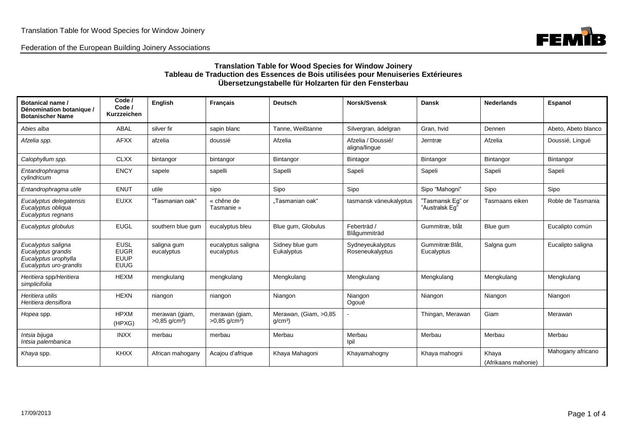Federation of the European Building Joinery Associations



## **Translation Table for Wood Species for Window Joinery Tableau de Traduction des Essences de Bois utilisées pour Menuiseries Extérieures Übersetzungstabelle für Holzarten für den Fensterbau**

| Botanical name /<br>Dénomination botanique /<br><b>Botanischer Name</b>                    | Code /<br>Code /<br>Kurzzeichen                          | <b>English</b>                                | <b>Francais</b>                               | <b>Deutsch</b>                             | Norsk/Svensk                        | <b>Dansk</b>                       | <b>Nederlands</b>            | Espanol             |
|--------------------------------------------------------------------------------------------|----------------------------------------------------------|-----------------------------------------------|-----------------------------------------------|--------------------------------------------|-------------------------------------|------------------------------------|------------------------------|---------------------|
| Abies alba                                                                                 | <b>ABAL</b>                                              | silver fir                                    | sapin blanc                                   | Tanne, Weißtanne                           | Silvergran, ädelgran                | Gran, hvid                         | Dennen                       | Abeto, Abeto blanco |
| Afzelia spp.                                                                               | <b>AFXX</b>                                              | afzelia                                       | doussié                                       | Afzelia                                    | Afzelia / Doussié/<br>aligna/lingue | Jerntræ                            | Afzelia                      | Doussié, Lingué     |
| Calophyllum spp.                                                                           | <b>CLXX</b>                                              | bintangor                                     | bintangor                                     | Bintangor                                  | Bintagor                            | Bintangor                          | Bintangor                    | Bintangor           |
| Entandrophragma<br>cylindricum                                                             | <b>ENCY</b>                                              | sapele                                        | sapelli                                       | Sapelli                                    | Sapeli                              | Sapeli                             | Sapeli                       | Sapeli              |
| Entandrophragma utile                                                                      | <b>ENUT</b>                                              | utile                                         | sipo                                          | Sipo                                       | Sipo                                | Sipo "Mahogni"                     | Sipo                         | Sipo                |
| Eucalyptus delegatensis<br>Eucalyptus obliqua<br>Eucalyptus regnans                        | <b>EUXX</b>                                              | "Tasmanian oak"                               | « chêne de<br>Tasmanie »                      | "Tasmanian oak"                            | tasmansk väneukalyptus              | "Tasmansk Eg" or<br>"Australsk Eq" | Tasmaans eiken               | Roble de Tasmania   |
| Eucalyptus globulus                                                                        | <b>EUGL</b>                                              | southern blue gum                             | eucalyptus bleu                               | Blue gum, Globulus                         | Feberträd /<br>Blågummiträd         | Gummitræ, blåt                     | Blue gum                     | Eucalipto común     |
| Eucalyptus saligna<br>Eucalyptus grandis<br>Eucalyptus urophylla<br>Eucalyptus uro-grandis | <b>EUSL</b><br><b>EUGR</b><br><b>EUUP</b><br><b>EUUG</b> | saligna gum<br>eucalyptus                     | eucalyptus saligna<br>eucalyptus              | Sidney blue gum<br>Eukalyptus              | Sydneyeukalyptus<br>Roseneukalyptus | Gummitræ: Blåt,<br>Eucalyptus      | Salgna gum                   | Eucalipto saligna   |
| Heritiera spp/Heritiera<br>simplicifolia                                                   | <b>HEXM</b>                                              | mengkulang                                    | mengkulang                                    | Mengkulang                                 | Mengkulang                          | Mengkulang                         | Mengkulang                   | Mengkulang          |
| Heritiera utilis<br>Heritiera densiflora                                                   | <b>HEXN</b>                                              | niangon                                       | niangon                                       | Niangon                                    | Niangon<br>Ogoué                    | Niangon                            | Niangon                      | Niangon             |
| Hopea spp.                                                                                 | <b>HPXM</b><br>(HPXG)                                    | merawan (giam,<br>$>0.85$ g/cm <sup>3</sup> ) | merawan (giam,<br>$>0.85$ g/cm <sup>3</sup> ) | Merawan, (Giam, >0,85<br>q/cm <sup>3</sup> |                                     | Thingan, Merawan                   | Giam                         | Merawan             |
| Intsia bijuga<br>Intsia palembanica                                                        | <b>INXX</b>                                              | merbau                                        | merbau                                        | Merbau                                     | Merbau<br>Ipil                      | Merbau                             | Merbau                       | Merbau              |
| Khaya spp.                                                                                 | <b>KHXX</b>                                              | African mahogany                              | Acajou d'afrique                              | Khaya Mahagoni                             | Khayamahogny                        | Khaya mahogni                      | Khaya<br>(Afrikaans mahonie) | Mahogany africano   |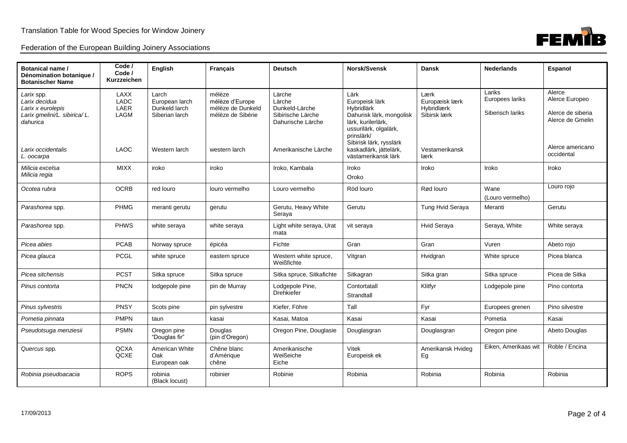|  |  | Federation of the European Building Joinery Associations |
|--|--|----------------------------------------------------------|
|  |  |                                                          |



| Botanical name /<br>Dénomination botanique /<br><b>Botanischer Name</b>                                                          | Code /<br>Code /<br>Kurzzeichen                           | English                                                                     | <b>Français</b>                                                                      | <b>Deutsch</b>                                                                                       | Norsk/Svensk                                                                                                                                                                                              | <b>Dansk</b>                                                                   | <b>Nederlands</b>                             | Espanol                                                                                             |
|----------------------------------------------------------------------------------------------------------------------------------|-----------------------------------------------------------|-----------------------------------------------------------------------------|--------------------------------------------------------------------------------------|------------------------------------------------------------------------------------------------------|-----------------------------------------------------------------------------------------------------------------------------------------------------------------------------------------------------------|--------------------------------------------------------------------------------|-----------------------------------------------|-----------------------------------------------------------------------------------------------------|
| Larix spp.<br>Larix decidua<br>Larix x eurolepis<br>Larix gmelini/L. sibirica/L.<br>dahurica<br>Larix occidentalis<br>L. oocarpa | LAXX<br><b>LADC</b><br>LAER<br><b>LAGM</b><br><b>LAOC</b> | Larch<br>European larch<br>Dunkeld larch<br>Siberian larch<br>Western larch | mélèze<br>mélèze d'Europe<br>mélèze de Dunkeld<br>mélèze de Sibérie<br>western larch | Lärche<br>Lärche<br>Dunkeld-Lärche<br>Sibirische Lärche<br>Dahurische Lärche<br>Amerikanische Lärche | Lärk<br>Europeisk lärk<br>Hybridlärk<br>Dahurisk lärk, mongolisk<br>lärk, kurilerlärk,<br>ussurilärk, olgalärk,<br>prinslärk/<br>Sibirisk lärk, rysslärk<br>kaskadlärk, jättelärk,<br>västamerikansk lärk | Lærk<br>Europæisk lærk<br>Hybridlærk<br>Sibirsk lærk<br>Vestamerikansk<br>lærk | Lariks<br>Europees lariks<br>Siberisch lariks | Alerce<br>Alerce Europeo<br>Alerce de siberia<br>Alerce de Gmelin<br>Alerce americano<br>occidental |
| Milicia excelsa<br>Milicia regia                                                                                                 | <b>MIXX</b>                                               | iroko                                                                       | iroko                                                                                | Iroko, Kambala                                                                                       | Iroko<br>Oroko                                                                                                                                                                                            | Iroko                                                                          | Iroko                                         | Iroko                                                                                               |
| Ocotea rubra                                                                                                                     | <b>OCRB</b>                                               | red louro                                                                   | louro vermelho                                                                       | Louro vermelho                                                                                       | Röd louro                                                                                                                                                                                                 | Rød louro                                                                      | Wane<br>(Louro vermelho)                      | Louro rojo                                                                                          |
| Parashorea spp.                                                                                                                  | <b>PHMG</b>                                               | meranti gerutu                                                              | gerutu                                                                               | Gerutu, Heavy White<br>Seraya                                                                        | Gerutu                                                                                                                                                                                                    | Tung Hvid Seraya                                                               | Meranti                                       | Gerutu                                                                                              |
| Parashorea spp.                                                                                                                  | <b>PHWS</b>                                               | white seraya                                                                | white seraya                                                                         | Light white seraya, Urat<br>mata                                                                     | vit seraya                                                                                                                                                                                                | Hvid Seraya                                                                    | Seraya, White                                 | White seraya                                                                                        |
| Picea abies                                                                                                                      | <b>PCAB</b>                                               | Norway spruce                                                               | épicéa                                                                               | Fichte                                                                                               | Gran                                                                                                                                                                                                      | Gran                                                                           | Vuren                                         | Abeto rojo                                                                                          |
| Picea glauca                                                                                                                     | <b>PCGL</b>                                               | white spruce                                                                | eastern spruce                                                                       | Western white spruce,<br>Weißfichte                                                                  | Vitgran                                                                                                                                                                                                   | Hvidgran                                                                       | White spruce                                  | Picea blanca                                                                                        |
| Picea sitchensis                                                                                                                 | <b>PCST</b>                                               | Sitka spruce                                                                | Sitka spruce                                                                         | Sitka spruce, Sitkafichte                                                                            | Sitkagran                                                                                                                                                                                                 | Sitka gran                                                                     | Sitka spruce                                  | Picea de Sitka                                                                                      |
| Pinus contorta                                                                                                                   | PNCN                                                      | lodgepole pine                                                              | pin de Murray                                                                        | Lodgepole Pine,<br><b>Drehkiefer</b>                                                                 | Contortatall<br>Strandtall                                                                                                                                                                                | Klitfyr                                                                        | Lodgepole pine                                | Pino contorta                                                                                       |
| Pinus sylvestris                                                                                                                 | <b>PNSY</b>                                               | Scots pine                                                                  | pin sylvestre                                                                        | Kiefer, Föhre                                                                                        | Tall                                                                                                                                                                                                      | Fyr                                                                            | Europees grenen                               | Pino silvestre                                                                                      |
| Pometia pinnata                                                                                                                  | <b>PMPN</b>                                               | taun                                                                        | kasai                                                                                | Kasai, Matoa                                                                                         | Kasai                                                                                                                                                                                                     | Kasai                                                                          | Pometia                                       | Kasai                                                                                               |
| Pseudotsuga menziesii                                                                                                            | <b>PSMN</b>                                               | Oregon pine<br>"Douglas fir"                                                | Douglas<br>(pin d'Oregon)                                                            | Oregon Pine, Douglasie                                                                               | Douglasgran                                                                                                                                                                                               | Douglasgran                                                                    | Oregon pine                                   | Abeto Douglas                                                                                       |
| Quercus spp.                                                                                                                     | <b>QCXA</b><br>QCXE                                       | American White<br>Oak<br>European oak                                       | Chêne blanc<br>d'Amérique<br>chêne                                                   | Amerikanische<br>Weißeiche<br>Eiche                                                                  | Vitek<br>Europeisk ek                                                                                                                                                                                     | Amerikansk Hvideg<br>Eg                                                        | Eiken, Amerikaas wit                          | Roble / Encina                                                                                      |
| Robinia pseudoacacia                                                                                                             | <b>ROPS</b>                                               | robinia<br>(Black locust)                                                   | robinier                                                                             | Robinie                                                                                              | Robinia                                                                                                                                                                                                   | Robinia                                                                        | Robinia                                       | Robinia                                                                                             |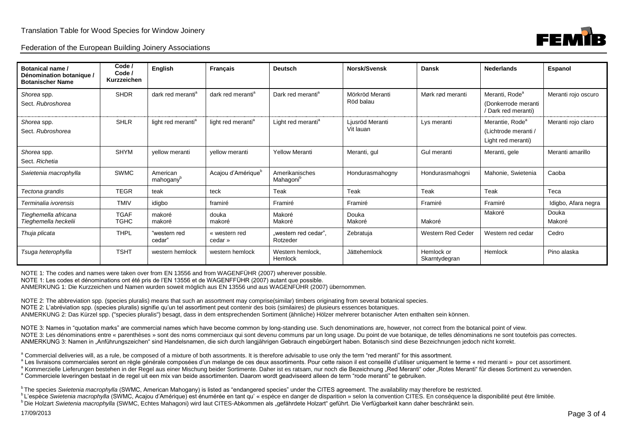

| Botanical name /<br>Dénomination botanique /<br><b>Botanischer Name</b> | Code /<br>Code /<br>Kurzzeichen | <b>English</b>                    | <b>Français</b>                | <b>Deutsch</b>                          | Norsk/Svensk                 | <b>Dansk</b>                | <b>Nederlands</b>                                                         | Espanol             |
|-------------------------------------------------------------------------|---------------------------------|-----------------------------------|--------------------------------|-----------------------------------------|------------------------------|-----------------------------|---------------------------------------------------------------------------|---------------------|
| Shorea spp.<br>Sect. Rubroshorea                                        | <b>SHDR</b>                     | dark red meranti <sup>a</sup>     | dark red meranti <sup>a</sup>  | Dark red meranti <sup>a</sup>           | Mörkröd Meranti<br>Röd balau | Mørk rød meranti            | Meranti, Rode <sup>a</sup><br>(Donkerrode meranti<br>(Dark red meranti)   | Meranti rojo oscuro |
| Shorea spp.<br>Sect. Rubroshorea                                        | <b>SHLR</b>                     | light red meranti <sup>a</sup>    | light red meranti <sup>a</sup> | Light red meranti <sup>a</sup>          | Ljusröd Meranti<br>Vit lauan | Lys meranti                 | Merantie, Rode <sup>a</sup><br>(Lichtrode meranti /<br>Light red meranti) | Meranti rojo claro  |
| Shorea spp.<br>Sect. Richetia                                           | <b>SHYM</b>                     | vellow meranti                    | vellow meranti                 | <b>Yellow Meranti</b>                   | Meranti, gul                 | Gul meranti                 | Meranti, gele                                                             | Meranti amarillo    |
| Swietenia macrophylla                                                   | <b>SWMC</b>                     | American<br>mahogany <sup>b</sup> | Acajou d'Amérique <sup>r</sup> | Amerikanisches<br>Mahagoni <sup>b</sup> | Hondurasmahogny              | Hondurasmahogni             | Mahonie, Swietenia                                                        | Caoba               |
| Tectona grandis                                                         | <b>TEGR</b>                     | teak                              | teck                           | Teak                                    | Teak                         | Teak                        | Teak                                                                      | Teca                |
| Terminalia ivorensis                                                    | <b>TMIV</b>                     | idigbo                            | framiré                        | Framiré                                 | Framiré                      | Framiré                     | Framiré                                                                   | Idigbo, Afara negra |
| Tieghemella africana<br>Tieghemella heckelii                            | <b>TGAF</b><br>TGHC             | makoré<br>makoré                  | douka<br>makoré                | Makoré<br>Makoré                        | Douka<br>Makoré              | Makoré                      | Makoré                                                                    | Douka<br>Makoré     |
| Thuja plicata                                                           | <b>THPL</b>                     | "western red<br>cedar'            | « western red<br>cedar »       | "western red cedar",<br>Rotzeder        | Zebratuja                    | Western Red Ceder           | Western red cedar                                                         | Cedro               |
| Tsuga heterophylla                                                      | <b>TSHT</b>                     | western hemlock                   | western hemlock                | Western hemlock.<br>Hemlock             | Jättehemlock                 | Hemlock or<br>Skarntydegran | Hemlock                                                                   | Pino alaska         |

NOTE 1: The codes and names were taken over from EN 13556 and from WAGENFÜHR (2007) wherever possible.

NOTE 1: Les codes et dénominations ont été pris de l'EN 13556 et de WAGENFFÜHR (2007) autant que possible.

ANMERKUNG 1: Die Kurzzeichen und Namen wurden soweit möglich aus EN 13556 und aus WAGENFÜHR (2007) übernommen.

NOTE 2: The abbreviation spp. (species pluralis) means that such an assortment may comprise(similar) timbers originating from several botanical species.

NOTE 2: L'abréviation spp. (species pluralis) signifie qu'un tel assortiment peut contenir des bois (similaires) de plusieurs essences botaniques.

ANMERKUNG 2: Das Kürzel spp. ("species pluralis") besagt, dass in dem entsprechenden Sortiment (ähnliche) Hölzer mehrerer botanischer Arten enthalten sein können.

NOTE 3: Names in "quotation marks" are commercial names which have become common by long-standing use. Such denominations are, however, not correct from the botanical point of view. NOTE 3: Les dénominations entre « parenthèses » sont des noms commerciaux qui sont devenu communs par un long usage. Du point de vue botanique, de telles dénominations ne sont toutefois pas correctes. ANMERKUNG 3: Namen in "Anführungszeichen" sind Handelsnamen, die sich durch langjährigen Gebrauch eingebürgert haben. Botanisch sind diese Bezeichnungen jedoch nicht korrekt.

<sup>a</sup> Commercial deliveries will, as a rule, be composed of a mixture of both assortments. It is therefore advisable to use only the term "red meranti" for this assortment.

a Les livraisons commerciales seront en règle générale composées d'un melange de ces deux assortiments. Pour cette raison il est conseillé d'utiliser uniquement le terme « red meranti » pour cet assortiment.

<sup>a</sup> Kommerzielle Lieferungen bestehen in der Regel aus einer Mischung beider Sortimente. Daher ist es ratsam, nur noch die Bezeichnung "Red Meranti" oder "Rotes Meranti" für dieses Sortiment zu verwenden. <sup>a</sup> Commerciele leveringen bestaat in de regel uit een mix van beide assortimenten. Daarom wordt geadviseerd alleen de term "rode meranti" te gebruiken.

<sup>b</sup> The species *Swietenia macrophylla* (SWMC, American Mahogany) is listed as "endangered species" under the CITES agreement. The availability may therefore be restricted.

bL'espèce Swietenia macrophylla (SWMC, Acajou d'Amérique) est énumérée en tant qu' « espèce en danger de disparition » selon la convention CITES. En conséquence la disponibilité peut être limitée.

<sup>b</sup> Die Holzart *Swietenia macrophylla* (SWMC, Echtes Mahagoni) wird laut CITES-Abkommen als "gefährdete Holzart" geführt. Die Verfügbarkeit kann daher beschränkt sein.